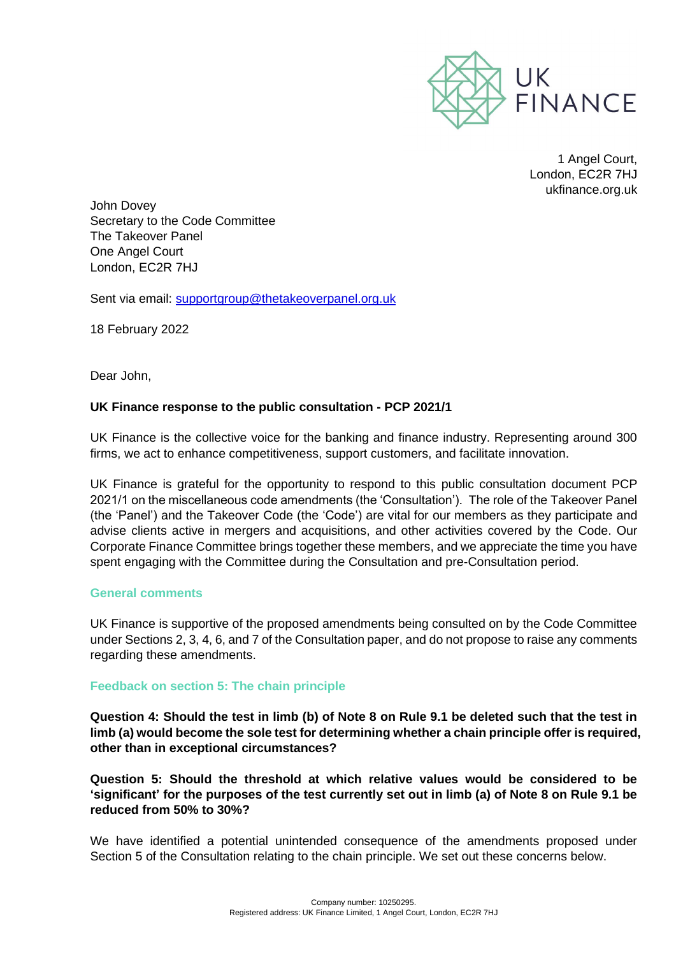

1 Angel Court, London, EC2R 7HJ ukfinance.org.uk

John Dovey Secretary to the Code Committee The Takeover Panel One Angel Court London, EC2R 7HJ

Sent via email: [supportgroup@thetakeoverpanel.org.uk](mailto:supportgroup@thetakeoverpanel.org.uk)

18 February 2022

Dear John,

## **UK Finance response to the public consultation - PCP 2021/1**

UK Finance is the collective voice for the banking and finance industry. Representing around 300 firms, we act to enhance competitiveness, support customers, and facilitate innovation.

UK Finance is grateful for the opportunity to respond to this public consultation document PCP 2021/1 on the miscellaneous code amendments (the 'Consultation'). The role of the Takeover Panel (the 'Panel') and the Takeover Code (the 'Code') are vital for our members as they participate and advise clients active in mergers and acquisitions, and other activities covered by the Code. Our Corporate Finance Committee brings together these members, and we appreciate the time you have spent engaging with the Committee during the Consultation and pre-Consultation period.

## **General comments**

UK Finance is supportive of the proposed amendments being consulted on by the Code Committee under Sections 2, 3, 4, 6, and 7 of the Consultation paper, and do not propose to raise any comments regarding these amendments.

## **Feedback on section 5: The chain principle**

**Question 4: Should the test in limb (b) of Note 8 on Rule 9.1 be deleted such that the test in limb (a) would become the sole test for determining whether a chain principle offer is required, other than in exceptional circumstances?**

**Question 5: Should the threshold at which relative values would be considered to be 'significant' for the purposes of the test currently set out in limb (a) of Note 8 on Rule 9.1 be reduced from 50% to 30%?**

We have identified a potential unintended consequence of the amendments proposed under Section 5 of the Consultation relating to the chain principle. We set out these concerns below.